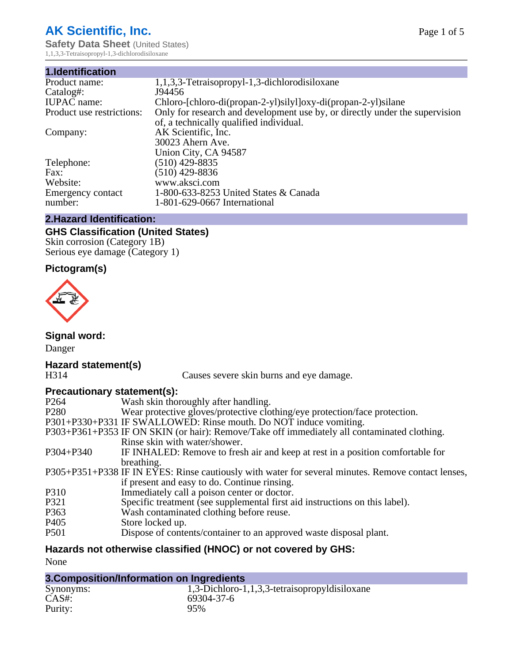# **AK Scientific, Inc.**

**Safety Data Sheet (United States)** 1,1,3,3-Tetraisopropyl-1,3-dichlorodisiloxane

| 1,1,3,3-Tetraisopropyl-1,3-dichlorodisiloxane                               |
|-----------------------------------------------------------------------------|
| J94456                                                                      |
| Chloro-[chloro-di(propan-2-yl)silyl]oxy-di(propan-2-yl)silane               |
| Only for research and development use by, or directly under the supervision |
| of, a technically qualified individual.                                     |
| AK Scientific, Inc.                                                         |
| 30023 Ahern Ave.                                                            |
| Union City, CA 94587                                                        |
| $(510)$ 429-8835                                                            |
| (510) 429-8836                                                              |
| www.aksci.com                                                               |
| 1-800-633-8253 United States & Canada                                       |
| 1-801-629-0667 International                                                |
|                                                                             |

#### **2.Hazard Identification:**

### **GHS Classification (United States)**

Skin corrosion (Category 1B) Serious eye damage (Category 1)

### **Pictogram(s)**



**Signal word:**

Danger

# **Hazard statement(s)**

Causes severe skin burns and eye damage.

#### **Precautionary statement(s):**

| P <sub>264</sub> | Wash skin thoroughly after handling.                                                               |
|------------------|----------------------------------------------------------------------------------------------------|
| P <sub>280</sub> | Wear protective gloves/protective clothing/eye protection/face protection.                         |
|                  | P301+P330+P331 IF SWALLOWED: Rinse mouth. Do NOT induce vomiting.                                  |
|                  | P303+P361+P353 IF ON SKIN (or hair): Remove/Take off immediately all contaminated clothing.        |
|                  | Rinse skin with water/shower.                                                                      |
| $P304 + P340$    | IF INHALED: Remove to fresh air and keep at rest in a position comfortable for                     |
|                  | breathing.                                                                                         |
|                  | P305+P351+P338 IF IN EYES: Rinse cautiously with water for several minutes. Remove contact lenses, |
|                  | if present and easy to do. Continue rinsing.                                                       |
| P310             | Immediately call a poison center or doctor.                                                        |
| P321             | Specific treatment (see supplemental first aid instructions on this label).                        |
| P363             | Wash contaminated clothing before reuse.                                                           |
| P <sub>405</sub> | Store locked up.                                                                                   |
| <b>P501</b>      | Dispose of contents/container to an approved waste disposal plant.                                 |
|                  |                                                                                                    |

## **Hazards not otherwise classified (HNOC) or not covered by GHS:**

None

| 3. Composition/Information on Ingredients |                                               |  |
|-------------------------------------------|-----------------------------------------------|--|
| Synonyms:                                 | 1,3-Dichloro-1,1,3,3-tetraisopropyldisiloxane |  |
| CAS#:                                     | 69304-37-6                                    |  |
| Purity:                                   | 95%                                           |  |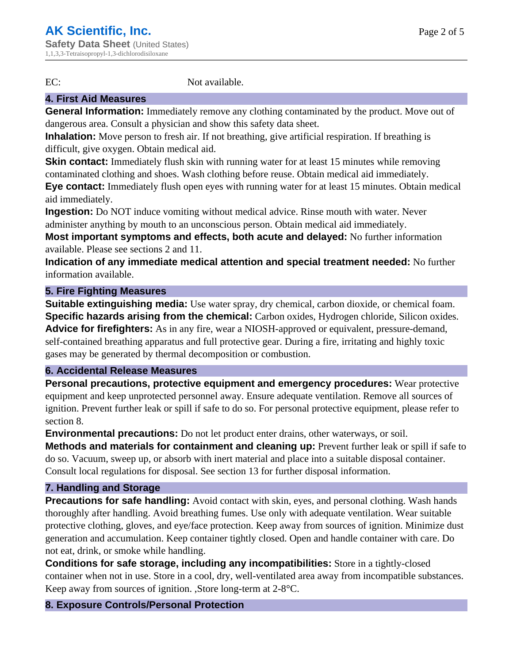EC: Not available.

#### **4. First Aid Measures**

**General Information:** Immediately remove any clothing contaminated by the product. Move out of dangerous area. Consult a physician and show this safety data sheet.

**Inhalation:** Move person to fresh air. If not breathing, give artificial respiration. If breathing is difficult, give oxygen. Obtain medical aid.

**Skin contact:** Immediately flush skin with running water for at least 15 minutes while removing contaminated clothing and shoes. Wash clothing before reuse. Obtain medical aid immediately.

**Eye contact:** Immediately flush open eyes with running water for at least 15 minutes. Obtain medical aid immediately.

**Ingestion:** Do NOT induce vomiting without medical advice. Rinse mouth with water. Never administer anything by mouth to an unconscious person. Obtain medical aid immediately.

**Most important symptoms and effects, both acute and delayed:** No further information available. Please see sections 2 and 11.

**Indication of any immediate medical attention and special treatment needed:** No further information available.

#### **5. Fire Fighting Measures**

**Suitable extinguishing media:** Use water spray, dry chemical, carbon dioxide, or chemical foam. **Specific hazards arising from the chemical:** Carbon oxides, Hydrogen chloride, Silicon oxides. **Advice for firefighters:** As in any fire, wear a NIOSH-approved or equivalent, pressure-demand, self-contained breathing apparatus and full protective gear. During a fire, irritating and highly toxic gases may be generated by thermal decomposition or combustion.

#### **6. Accidental Release Measures**

**Personal precautions, protective equipment and emergency procedures:** Wear protective equipment and keep unprotected personnel away. Ensure adequate ventilation. Remove all sources of ignition. Prevent further leak or spill if safe to do so. For personal protective equipment, please refer to section 8.

**Environmental precautions:** Do not let product enter drains, other waterways, or soil.

**Methods and materials for containment and cleaning up:** Prevent further leak or spill if safe to do so. Vacuum, sweep up, or absorb with inert material and place into a suitable disposal container. Consult local regulations for disposal. See section 13 for further disposal information.

#### **7. Handling and Storage**

**Precautions for safe handling:** Avoid contact with skin, eyes, and personal clothing. Wash hands thoroughly after handling. Avoid breathing fumes. Use only with adequate ventilation. Wear suitable protective clothing, gloves, and eye/face protection. Keep away from sources of ignition. Minimize dust generation and accumulation. Keep container tightly closed. Open and handle container with care. Do not eat, drink, or smoke while handling.

**Conditions for safe storage, including any incompatibilities:** Store in a tightly-closed container when not in use. Store in a cool, dry, well-ventilated area away from incompatible substances. Keep away from sources of ignition. ,Store long-term at 2-8°C.

#### **8. Exposure Controls/Personal Protection**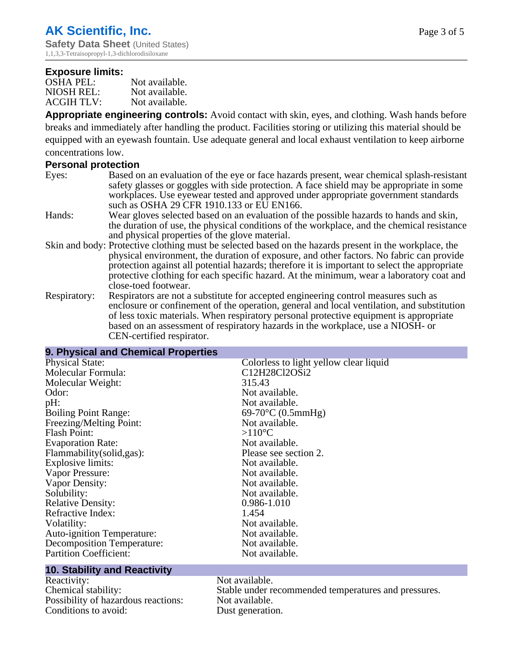#### **Exposure limits:**

| <b>OSHA PEL:</b>  | Not available. |
|-------------------|----------------|
| NIOSH REL:        | Not available. |
| <b>ACGIH TLV:</b> | Not available. |

**Appropriate engineering controls:** Avoid contact with skin, eyes, and clothing. Wash hands before breaks and immediately after handling the product. Facilities storing or utilizing this material should be equipped with an eyewash fountain. Use adequate general and local exhaust ventilation to keep airborne concentrations low.

#### **Personal protection**

- Eyes: Based on an evaluation of the eye or face hazards present, wear chemical splash-resistant safety glasses or goggles with side protection. A face shield may be appropriate in some workplaces. Use eyewear tested and approved under appropriate government standards such as OSHA 29 CFR 1910.133 or EU EN166.
- Hands: Wear gloves selected based on an evaluation of the possible hazards to hands and skin, the duration of use, the physical conditions of the workplace, and the chemical resistance and physical properties of the glove material.
- Skin and body: Protective clothing must be selected based on the hazards present in the workplace, the physical environment, the duration of exposure, and other factors. No fabric can provide protection against all potential hazards; therefore it is important to select the appropriate protective clothing for each specific hazard. At the minimum, wear a laboratory coat and close-toed footwear.
- Respiratory: Respirators are not a substitute for accepted engineering control measures such as enclosure or confinement of the operation, general and local ventilation, and substitution of less toxic materials. When respiratory personal protective equipment is appropriate based on an assessment of respiratory hazards in the workplace, use a NIOSH- or CEN-certified respirator.

#### **9. Physical and Chemical Properties**

| <b>Physical State:</b>            | Colorless to light yellow clear liquid |
|-----------------------------------|----------------------------------------|
| Molecular Formula:                | C12H28Cl2OSi2                          |
| Molecular Weight:                 | 315.43                                 |
| Odor:                             | Not available.                         |
| pH:                               | Not available.                         |
| <b>Boiling Point Range:</b>       | $69-70$ °C (0.5mmHg)                   |
| Freezing/Melting Point:           | Not available.                         |
| <b>Flash Point:</b>               | $>110^{\circ}C$                        |
| <b>Evaporation Rate:</b>          | Not available.                         |
| Flammability (solid, gas):        | Please see section 2.                  |
| Explosive limits:                 | Not available.                         |
| Vapor Pressure:                   | Not available.                         |
| Vapor Density:                    | Not available.                         |
| Solubility:                       | Not available.                         |
| <b>Relative Density:</b>          | 0.986-1.010                            |
| Refractive Index:                 | 1.454                                  |
| Volatility:                       | Not available.                         |
| <b>Auto-ignition Temperature:</b> | Not available.                         |
| <b>Decomposition Temperature:</b> | Not available.                         |
| <b>Partition Coefficient:</b>     | Not available.                         |
|                                   |                                        |

#### **10. Stability and Reactivity**

Reactivity: Not available. Possibility of hazardous reactions: Not available. Conditions to avoid: Dust generation.

Chemical stability: Stable under recommended temperatures and pressures.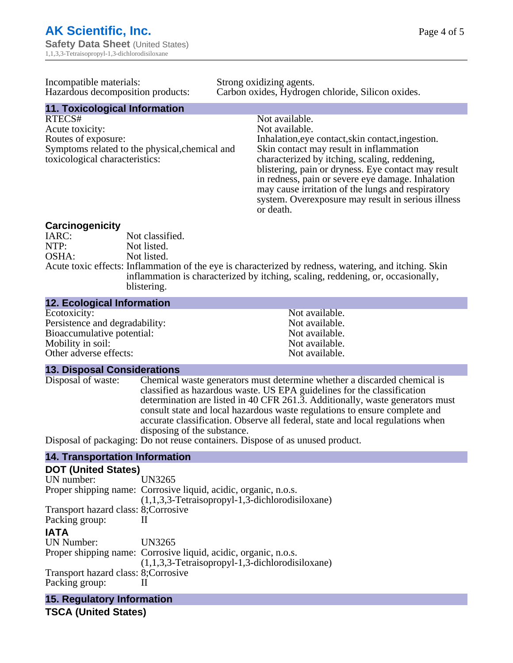| Incompatible materials:<br>Hazardous decomposition products: | Strong oxidizing agents.<br>Carbon oxides, Hydrogen chloride, Silicon oxides.                          |  |  |
|--------------------------------------------------------------|--------------------------------------------------------------------------------------------------------|--|--|
| 11. Toxicological Information                                |                                                                                                        |  |  |
| RTECS#                                                       | Not available.                                                                                         |  |  |
| Acute toxicity:                                              | Not available.                                                                                         |  |  |
| Routes of exposure:                                          | Inhalation, eye contact, skin contact, ingestion.                                                      |  |  |
| Symptoms related to the physical, chemical and               | Skin contact may result in inflammation                                                                |  |  |
| toxicological characteristics:                               | characterized by itching, scaling, reddening,                                                          |  |  |
|                                                              | blistering, pain or dryness. Eye contact may result                                                    |  |  |
|                                                              | in redness, pain or severe eye damage. Inhalation<br>may cause irritation of the lungs and respiratory |  |  |
|                                                              | system. Overexposure may result in serious illness                                                     |  |  |
|                                                              | or death.                                                                                              |  |  |

# **Carcinogenicity**

IARC: Not classified.<br>Not listed. NTP:<br>
OSHA: Not listed.<br>
Not listed. Not listed. Acute toxic effects: Inflammation of the eye is characterized by redness, watering, and itching. Skin inflammation is characterized by itching, scaling, reddening, or, occasionally, blistering.

#### **12. Ecological Information**

| Not available. |
|----------------|
| Not available. |
| Not available. |
| Not available. |
| Not available. |
|                |

#### **13. Disposal Considerations**

Disposal of waste: Chemical waste generators must determine whether a discarded chemical is classified as hazardous waste. US EPA guidelines for the classification determination are listed in 40 CFR 261.3. Additionally, waste generators must consult state and local hazardous waste regulations to ensure complete and accurate classification. Observe all federal, state and local regulations when disposing of the substance. Disposal of packaging: Do not reuse containers. Dispose of as unused product.

#### **14. Transportation Information**

| <b>DOT (United States)</b>           |                                                                                                                        |
|--------------------------------------|------------------------------------------------------------------------------------------------------------------------|
| UN number:                           | UN3265                                                                                                                 |
|                                      | Proper shipping name: Corrosive liquid, acidic, organic, n.o.s.<br>$(1,1,3,3)$ -Tetraisopropyl-1,3-dichlorodisiloxane) |
| Transport hazard class: 8; Corrosive |                                                                                                                        |
| Packing group:                       |                                                                                                                        |
| <b>IATA</b>                          |                                                                                                                        |
| <b>UN Number:</b>                    | UN3265                                                                                                                 |
|                                      | Proper shipping name: Corrosive liquid, acidic, organic, n.o.s.<br>$(1,1,3,3)$ -Tetraisopropyl-1,3-dichlorodisiloxane) |
| Transport hazard class: 8; Corrosive |                                                                                                                        |
| Packing group:                       |                                                                                                                        |

**15. Regulatory Information**

**TSCA (United States)**